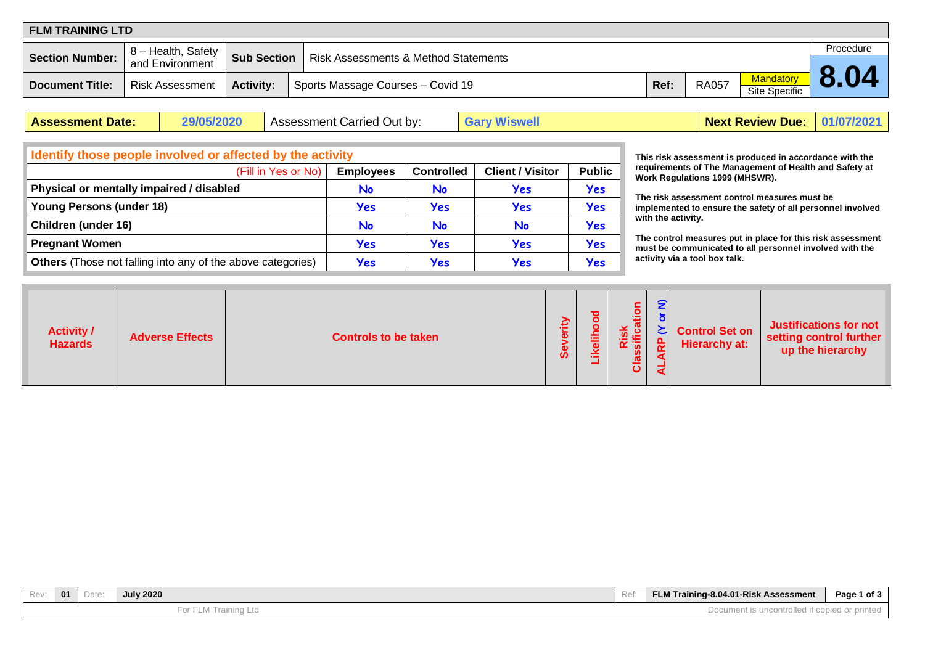| <b>FLM TRAINING LTD</b> |                        |                    |                                                 |      |              |                                   |           |  |  |  |  |
|-------------------------|------------------------|--------------------|-------------------------------------------------|------|--------------|-----------------------------------|-----------|--|--|--|--|
|                         | 8 – Health, Safety     |                    |                                                 |      |              |                                   | Procedure |  |  |  |  |
| <b>Section Number:</b>  | and Environment        | <b>Sub Section</b> | <b>Risk Assessments &amp; Method Statements</b> |      |              |                                   |           |  |  |  |  |
| <b>Document Title:</b>  | <b>Risk Assessment</b> | <b>Activity:</b>   | Sports Massage Courses - Covid 19               | Ref: | <b>RA057</b> | Mandatory<br><b>Site Specific</b> |           |  |  |  |  |

| <b>Assessment Date:</b> | 29/05/2020<br>, Assessment Carried Out by: | <b>Gary Wiswell</b> | <b>Next Review Due: 01/07/2021</b> |  |
|-------------------------|--------------------------------------------|---------------------|------------------------------------|--|
|-------------------------|--------------------------------------------|---------------------|------------------------------------|--|

| Identify those people involved or affected by the activity         |                  |                   |                         |               |  |  |  |  |  |
|--------------------------------------------------------------------|------------------|-------------------|-------------------------|---------------|--|--|--|--|--|
| (Fill in Yes or No)                                                | <b>Employees</b> | <b>Controlled</b> | <b>Client / Visitor</b> | <b>Public</b> |  |  |  |  |  |
| Physical or mentally impaired / disabled                           | No               | No                | Yes                     | <b>Yes</b>    |  |  |  |  |  |
| <b>Young Persons (under 18)</b>                                    | Yes              | Yes               | Yes                     | <b>Yes</b>    |  |  |  |  |  |
| Children (under 16)                                                | No               | No                | No                      | Yes           |  |  |  |  |  |
| <b>Pregnant Women</b>                                              | Yes              | Yes               | Yes                     | Yes           |  |  |  |  |  |
| <b>Others</b> (Those not falling into any of the above categories) | Yes              | Yes               | Yes                     | Yes           |  |  |  |  |  |

**This risk assessment is produced in accordance with the requirements of The Management of Health and Safety at Work Regulations 1999 (MHSWR).**

**The risk assessment control measures must be implemented to ensure the safety of all personnel involved with the activity.**

**The control measures put in place for this risk assessment must be communicated to all personnel involved with the activity via a tool box talk.**

| <b>Activity /</b><br><b>Adverse Effects</b><br><b>Controls to be taken</b><br><b>Hazards</b> | ₹<br>$rac{1}{\text{a} \cdot \text{b}}$<br>⇁<br>€<br><b>Justifications for not</b><br><b>Control Set on</b><br>$\mathbf{S} \in \mathbb{R}$<br>setting control further<br>o,<br><b>Hierarchy at:</b><br>௳<br>i⊽ ¤<br>$\overline{\mathbf{r}}$<br>up the hierarchy<br>$\omega$<br>8g<br><u>ທ</u><br>$\blacktriangleleft$ |
|----------------------------------------------------------------------------------------------|----------------------------------------------------------------------------------------------------------------------------------------------------------------------------------------------------------------------------------------------------------------------------------------------------------------------|
|----------------------------------------------------------------------------------------------|----------------------------------------------------------------------------------------------------------------------------------------------------------------------------------------------------------------------------------------------------------------------------------------------------------------------|

| Rev: | 01 | Date | <b>July 2020</b>     | Ref | FLM Training-8.04.01-Risk Assessment               | Page 1 of 3 |
|------|----|------|----------------------|-----|----------------------------------------------------|-------------|
|      |    |      | For FLM Training Ltd |     | t is uncontrolled if copied or printed<br>Document |             |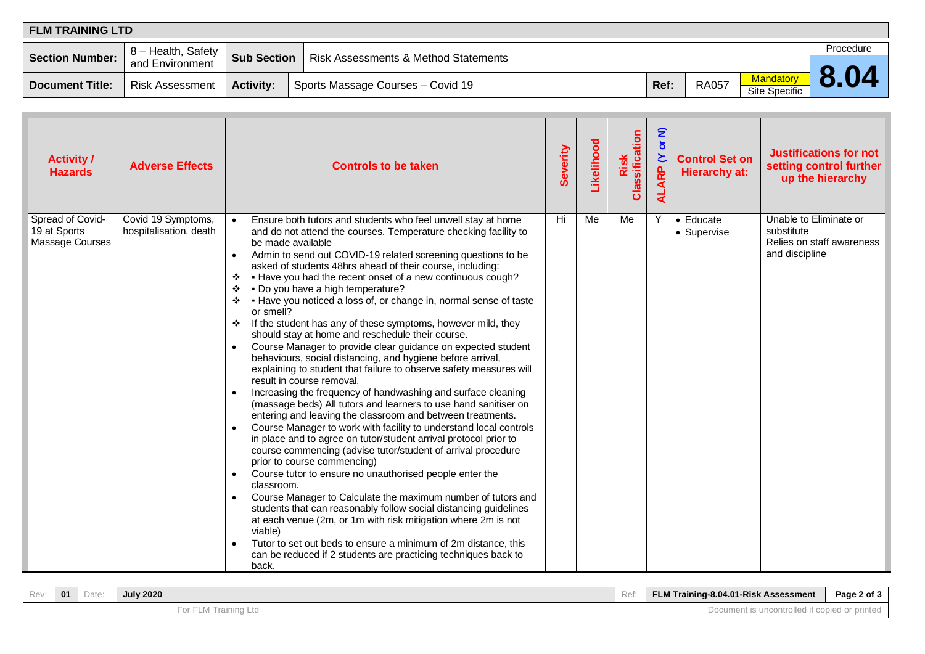| FLM TRAINING LTD       |                                       |                    |                                                 |      |              |                                          |           |  |  |  |  |
|------------------------|---------------------------------------|--------------------|-------------------------------------------------|------|--------------|------------------------------------------|-----------|--|--|--|--|
| <b>Section Number:</b> | 8 - Health, Safety<br>and Environment | <b>Sub Section</b> | <b>Risk Assessments &amp; Method Statements</b> |      |              |                                          | Procedure |  |  |  |  |
| Document Title:        | <b>Risk Assessment</b>                | <b>Activity:</b>   | Sports Massage Courses - Covid 19               | Ref: | <b>RA057</b> | <b>Mandatory</b><br><b>Site Specific</b> |           |  |  |  |  |

| <b>Activity /</b><br><b>Hazards</b>                 | <b>Adverse Effects</b>                       | <b>Controls to be taken</b>                                                                                                                                                                                                                                                                                                                                                                                                                                                                                                                                                                                                                                                                                                                                                                                                                                                                                                                                                                                                                                                                                                                                                                                                                                                                                                                                                                                                                                                                                                                                                                                                                                                                                                                               | Severity | Likelihood | Classification<br>Risk | <u>ຣ</u><br>$\overline{\sigma}$<br>ALARP (Y | <b>Control Set on</b><br><b>Hierarchy at:</b> | <b>Justifications for not</b><br>setting control further<br>up the hierarchy        |
|-----------------------------------------------------|----------------------------------------------|-----------------------------------------------------------------------------------------------------------------------------------------------------------------------------------------------------------------------------------------------------------------------------------------------------------------------------------------------------------------------------------------------------------------------------------------------------------------------------------------------------------------------------------------------------------------------------------------------------------------------------------------------------------------------------------------------------------------------------------------------------------------------------------------------------------------------------------------------------------------------------------------------------------------------------------------------------------------------------------------------------------------------------------------------------------------------------------------------------------------------------------------------------------------------------------------------------------------------------------------------------------------------------------------------------------------------------------------------------------------------------------------------------------------------------------------------------------------------------------------------------------------------------------------------------------------------------------------------------------------------------------------------------------------------------------------------------------------------------------------------------------|----------|------------|------------------------|---------------------------------------------|-----------------------------------------------|-------------------------------------------------------------------------------------|
| Spread of Covid-<br>19 at Sports<br>Massage Courses | Covid 19 Symptoms,<br>hospitalisation, death | Ensure both tutors and students who feel unwell stay at home<br>$\bullet$<br>and do not attend the courses. Temperature checking facility to<br>be made available<br>Admin to send out COVID-19 related screening questions to be<br>asked of students 48hrs ahead of their course, including:<br>. Have you had the recent onset of a new continuous cough?<br>❖<br>. Do you have a high temperature?<br>$\cdot$<br>❖ Have you noticed a loss of, or change in, normal sense of taste<br>or smell?<br>If the student has any of these symptoms, however mild, they<br>❖<br>should stay at home and reschedule their course.<br>Course Manager to provide clear guidance on expected student<br>$\bullet$<br>behaviours, social distancing, and hygiene before arrival,<br>explaining to student that failure to observe safety measures will<br>result in course removal.<br>Increasing the frequency of handwashing and surface cleaning<br>(massage beds) All tutors and learners to use hand sanitiser on<br>entering and leaving the classroom and between treatments.<br>Course Manager to work with facility to understand local controls<br>in place and to agree on tutor/student arrival protocol prior to<br>course commencing (advise tutor/student of arrival procedure<br>prior to course commencing)<br>Course tutor to ensure no unauthorised people enter the<br>classroom.<br>Course Manager to Calculate the maximum number of tutors and<br>students that can reasonably follow social distancing guidelines<br>at each venue (2m, or 1m with risk mitigation where 2m is not<br>viable)<br>Tutor to set out beds to ensure a minimum of 2m distance, this<br>can be reduced if 2 students are practicing techniques back to<br>back. | Hi       | Me         | Me                     | Y                                           | $\bullet$ Educate<br>• Supervise              | Unable to Eliminate or<br>substitute<br>Relies on staff awareness<br>and discipline |

| Rev. | 01 | Date | <b>July 2020</b>     | Ref | FLM Training-8.04.01-Risk Assessment          | Page 2 of $3$ |
|------|----|------|----------------------|-----|-----------------------------------------------|---------------|
|      |    |      | For FLM Training Ltd |     | Document is uncontrolled if copied or printed |               |